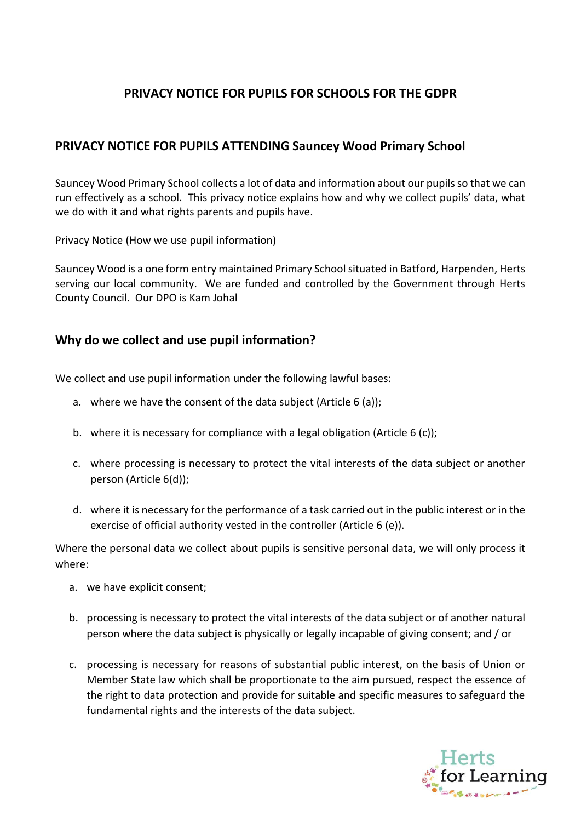# **PRIVACY NOTICE FOR PUPILS FOR SCHOOLS FOR THE GDPR**

## **PRIVACY NOTICE FOR PUPILS ATTENDING Sauncey Wood Primary School**

Sauncey Wood Primary School collects a lot of data and information about our pupils so that we can run effectively as a school. This privacy notice explains how and why we collect pupils' data, what we do with it and what rights parents and pupils have.

Privacy Notice (How we use pupil information)

Sauncey Wood is a one form entry maintained Primary School situated in Batford, Harpenden, Herts serving our local community. We are funded and controlled by the Government through Herts County Council. Our DPO is Kam Johal

### **Why do we collect and use pupil information?**

We collect and use pupil information under the following lawful bases:

- a. where we have the consent of the data subject (Article 6 (a));
- b. where it is necessary for compliance with a legal obligation (Article 6 (c));
- c. where processing is necessary to protect the vital interests of the data subject or another person (Article 6(d));
- d. where it is necessary for the performance of a task carried out in the public interest or in the exercise of official authority vested in the controller (Article 6 (e)).

Where the personal data we collect about pupils is sensitive personal data, we will only process it where:

- a. we have explicit consent;
- b. processing is necessary to protect the vital interests of the data subject or of another natural person where the data subject is physically or legally incapable of giving consent; and / or
- c. processing is necessary for reasons of substantial public interest, on the basis of Union or Member State law which shall be proportionate to the aim pursued, respect the essence of the right to data protection and provide for suitable and specific measures to safeguard the fundamental rights and the interests of the data subject.

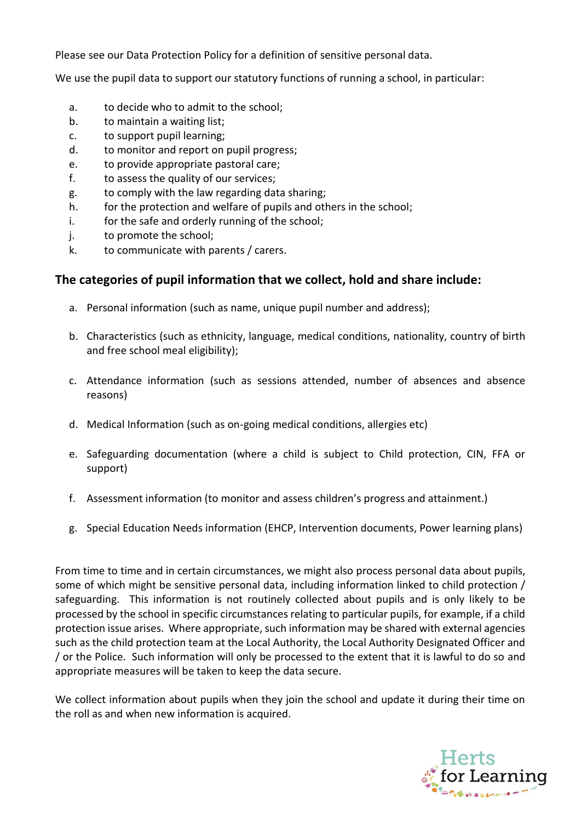Please see our Data Protection Policy for a definition of sensitive personal data.

We use the pupil data to support our statutory functions of running a school, in particular:

- a. to decide who to admit to the school;
- b. to maintain a waiting list;
- c. to support pupil learning;
- d. to monitor and report on pupil progress;
- e. to provide appropriate pastoral care;
- f. to assess the quality of our services;
- g. to comply with the law regarding data sharing;
- h. for the protection and welfare of pupils and others in the school;
- i. for the safe and orderly running of the school;
- j. to promote the school;
- k. to communicate with parents / carers.

### **The categories of pupil information that we collect, hold and share include:**

- a. Personal information (such as name, unique pupil number and address);
- b. Characteristics (such as ethnicity, language, medical conditions, nationality, country of birth and free school meal eligibility);
- c. Attendance information (such as sessions attended, number of absences and absence reasons)
- d. Medical Information (such as on-going medical conditions, allergies etc)
- e. Safeguarding documentation (where a child is subject to Child protection, CIN, FFA or support)
- f. Assessment information (to monitor and assess children's progress and attainment.)
- g. Special Education Needs information (EHCP, Intervention documents, Power learning plans)

From time to time and in certain circumstances, we might also process personal data about pupils, some of which might be sensitive personal data, including information linked to child protection / safeguarding. This information is not routinely collected about pupils and is only likely to be processed by the school in specific circumstances relating to particular pupils, for example, if a child protection issue arises. Where appropriate, such information may be shared with external agencies such as the child protection team at the Local Authority, the Local Authority Designated Officer and / or the Police. Such information will only be processed to the extent that it is lawful to do so and appropriate measures will be taken to keep the data secure.

We collect information about pupils when they join the school and update it during their time on the roll as and when new information is acquired.

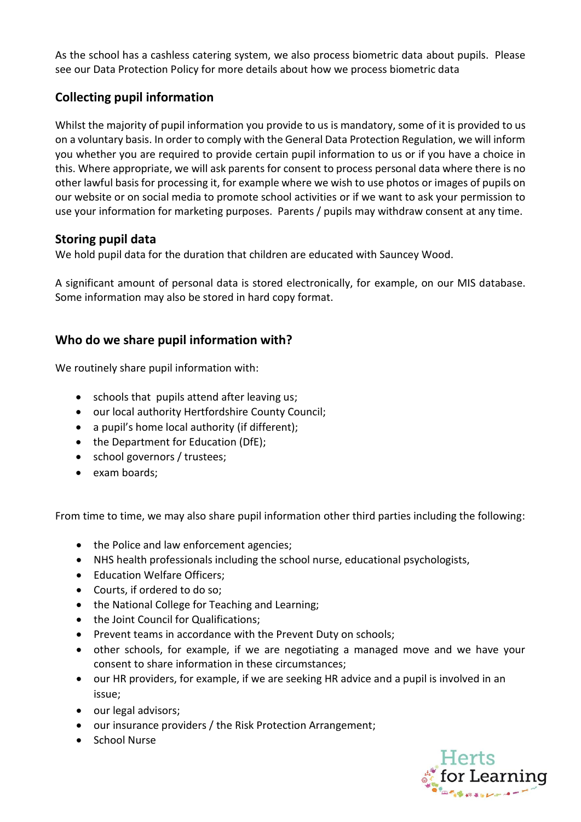As the school has a cashless catering system, we also process biometric data about pupils. Please see our Data Protection Policy for more details about how we process biometric data

# **Collecting pupil information**

Whilst the majority of pupil information you provide to us is mandatory, some of it is provided to us on a voluntary basis. In order to comply with the General Data Protection Regulation, we will inform you whether you are required to provide certain pupil information to us or if you have a choice in this. Where appropriate, we will ask parents for consent to process personal data where there is no other lawful basis for processing it, for example where we wish to use photos or images of pupils on our website or on social media to promote school activities or if we want to ask your permission to use your information for marketing purposes. Parents / pupils may withdraw consent at any time.

### **Storing pupil data**

We hold pupil data for the duration that children are educated with Sauncey Wood.

A significant amount of personal data is stored electronically, for example, on our MIS database. Some information may also be stored in hard copy format.

## **Who do we share pupil information with?**

We routinely share pupil information with:

- schools that pupils attend after leaving us;
- our local authority Hertfordshire County Council;
- a pupil's home local authority (if different);
- the Department for Education (DfE);
- school governors / trustees;
- exam boards;

From time to time, we may also share pupil information other third parties including the following:

- the Police and law enforcement agencies;
- NHS health professionals including the school nurse, educational psychologists,
- Education Welfare Officers:
- Courts, if ordered to do so;
- the National College for Teaching and Learning:
- the Joint Council for Qualifications;
- Prevent teams in accordance with the Prevent Duty on schools;
- other schools, for example, if we are negotiating a managed move and we have your consent to share information in these circumstances;
- our HR providers, for example, if we are seeking HR advice and a pupil is involved in an issue;
- our legal advisors;
- our insurance providers / the Risk Protection Arrangement;
- School Nurse

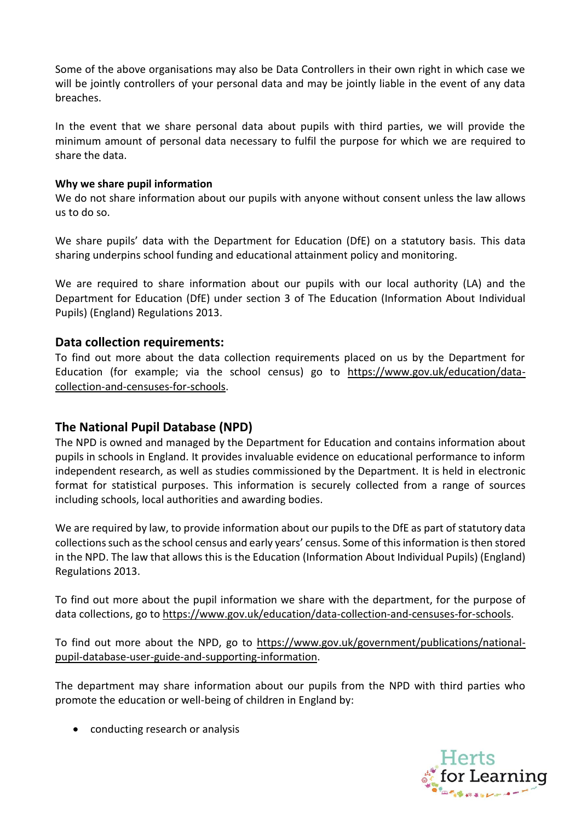Some of the above organisations may also be Data Controllers in their own right in which case we will be jointly controllers of your personal data and may be jointly liable in the event of any data breaches.

In the event that we share personal data about pupils with third parties, we will provide the minimum amount of personal data necessary to fulfil the purpose for which we are required to share the data.

#### **Why we share pupil information**

We do not share information about our pupils with anyone without consent unless the law allows us to do so.

We share pupils' data with the Department for Education (DfE) on a statutory basis. This data sharing underpins school funding and educational attainment policy and monitoring.

We are required to share information about our pupils with our local authority (LA) and the Department for Education (DfE) under section 3 of The Education (Information About Individual Pupils) (England) Regulations 2013.

#### **Data collection requirements:**

To find out more about the data collection requirements placed on us by the Department for Education (for example; via the school census) go to [https://www.gov.uk/education/data](https://www.gov.uk/education/data-collection-and-censuses-for-schools)[collection-and-censuses-for-schools.](https://www.gov.uk/education/data-collection-and-censuses-for-schools)

### **The National Pupil Database (NPD)**

The NPD is owned and managed by the Department for Education and contains information about pupils in schools in England. It provides invaluable evidence on educational performance to inform independent research, as well as studies commissioned by the Department. It is held in electronic format for statistical purposes. This information is securely collected from a range of sources including schools, local authorities and awarding bodies.

We are required by law, to provide information about our pupils to the DfE as part of statutory data collections such as the school census and early years' census. Some of this information isthen stored in the NPD. The law that allows this is the Education (Information About Individual Pupils) (England) Regulations 2013.

To find out more about the pupil information we share with the department, for the purpose of data collections, go to [https://www.gov.uk/education/data-collection-and-censuses-for-schools.](https://www.gov.uk/education/data-collection-and-censuses-for-schools)

To find out more about the NPD, go to [https://www.gov.uk/government/publications/national](https://www.gov.uk/government/publications/national-pupil-database-user-guide-and-supporting-information)[pupil-database-user-guide-and-supporting-information.](https://www.gov.uk/government/publications/national-pupil-database-user-guide-and-supporting-information)

The department may share information about our pupils from the NPD with third parties who promote the education or well-being of children in England by:

• conducting research or analysis

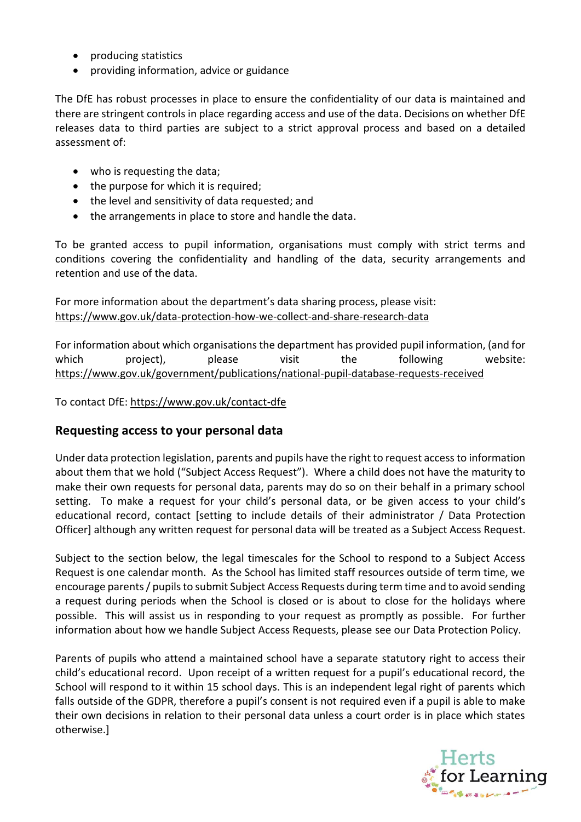- producing statistics
- providing information, advice or guidance

The DfE has robust processes in place to ensure the confidentiality of our data is maintained and there are stringent controls in place regarding access and use of the data. Decisions on whether DfE releases data to third parties are subject to a strict approval process and based on a detailed assessment of:

- who is requesting the data;
- the purpose for which it is required;
- the level and sensitivity of data requested; and
- the arrangements in place to store and handle the data.

To be granted access to pupil information, organisations must comply with strict terms and conditions covering the confidentiality and handling of the data, security arrangements and retention and use of the data.

#### For more information about the department's data sharing process, please visit: <https://www.gov.uk/data-protection-how-we-collect-and-share-research-data>

For information about which organisations the department has provided pupil information, (and for which project), please visit the following website: <https://www.gov.uk/government/publications/national-pupil-database-requests-received>

To contact DfE:<https://www.gov.uk/contact-dfe>

### **Requesting access to your personal data**

Under data protection legislation, parents and pupils have the right to request access to information about them that we hold ("Subject Access Request"). Where a child does not have the maturity to make their own requests for personal data, parents may do so on their behalf in a primary school setting. To make a request for your child's personal data, or be given access to your child's educational record, contact [setting to include details of their administrator / Data Protection Officer] although any written request for personal data will be treated as a Subject Access Request.

Subject to the section below, the legal timescales for the School to respond to a Subject Access Request is one calendar month. As the School has limited staff resources outside of term time, we encourage parents / pupils to submit Subject Access Requests during term time and to avoid sending a request during periods when the School is closed or is about to close for the holidays where possible. This will assist us in responding to your request as promptly as possible. For further information about how we handle Subject Access Requests, please see our Data Protection Policy.

Parents of pupils who attend a maintained school have a separate statutory right to access their child's educational record. Upon receipt of a written request for a pupil's educational record, the School will respond to it within 15 school days. This is an independent legal right of parents which falls outside of the GDPR, therefore a pupil's consent is not required even if a pupil is able to make their own decisions in relation to their personal data unless a court order is in place which states otherwise.]